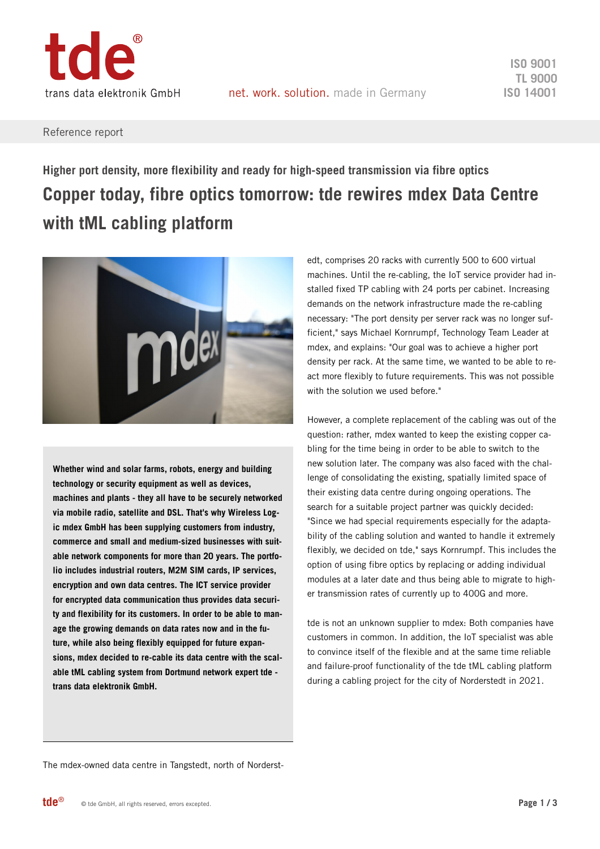

### Reference report

# **Higher port density, more flexibility and ready for high-speed transmission via fibre optics Copper today, fibre optics tomorrow: tde rewires mdex Data Centre with tML cabling platform**



**Whether wind and solar farms, robots, energy and building technology or security equipment as well as devices, machines and plants - they all have to be securely networked via mobile radio, satellite and DSL. That's why Wireless Logic mdex GmbH has been supplying customers from industry, commerce and small and medium-sized businesses with suitable network components for more than 20 years. The portfolio includes industrial routers, M2M SIM cards, IP services, encryption and own data centres. The ICT service provider for encrypted data communication thus provides data security and flexibility for its customers. In order to be able to manage the growing demands on data rates now and in the future, while also being flexibly equipped for future expansions, mdex decided to re-cable its data centre with the scalable tML cabling system from Dortmund network expert tde trans data elektronik GmbH.**

edt, comprises 20 racks with currently 500 to 600 virtual machines. Until the re-cabling, the IoT service provider had installed fixed TP cabling with 24 ports per cabinet. Increasing demands on the network infrastructure made the re-cabling necessary: "The port density per server rack was no longer sufficient," says Michael Kornrumpf, Technology Team Leader at mdex, and explains: "Our goal was to achieve a higher port density per rack. At the same time, we wanted to be able to react more flexibly to future requirements. This was not possible with the solution we used before."

However, a complete replacement of the cabling was out of the question: rather, mdex wanted to keep the existing copper cabling for the time being in order to be able to switch to the new solution later. The company was also faced with the challenge of consolidating the existing, spatially limited space of their existing data centre during ongoing operations. The search for a suitable project partner was quickly decided: "Since we had special requirements especially for the adaptability of the cabling solution and wanted to handle it extremely flexibly, we decided on tde," says Kornrumpf. This includes the option of using fibre optics by replacing or adding individual modules at a later date and thus being able to migrate to higher transmission rates of currently up to 400G and more.

tde is not an unknown supplier to mdex: Both companies have customers in common. In addition, the IoT specialist was able to convince itself of the flexible and at the same time reliable and failure-proof functionality of the tde tML cabling platform during a cabling project for the city of Norderstedt in 2021.

The mdex-owned data centre in Tangstedt, north of Norderst-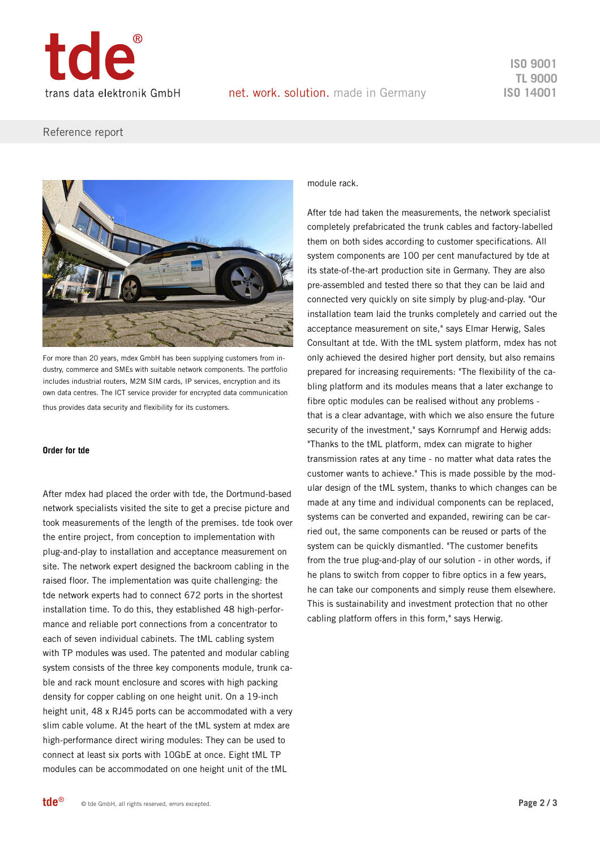

**ISO 9001 TL 9000 ISO 14001**

## Reference report



For more than 20 years, mdex GmbH has been supplying customers from industry, commerce and SMEs with suitable network components. The portfolio includes industrial routers, M2M SIM cards, IP services, encryption and its own data centres. The ICT service provider for encrypted data communication thus provides data security and flexibility for its customers.

#### **Order for tde**

After mdex had placed the order with tde, the Dortmund-based network specialists visited the site to get a precise picture and took measurements of the length of the premises. tde took over the entire project, from conception to implementation with plug-and-play to installation and acceptance measurement on site. The network expert designed the backroom cabling in the raised floor. The implementation was quite challenging: the tde network experts had to connect 672 ports in the shortest installation time. To do this, they established 48 high-performance and reliable port connections from a concentrator to each of seven individual cabinets. The tML cabling system with TP modules was used. The patented and modular cabling system consists of the three key components module, trunk cable and rack mount enclosure and scores with high packing density for copper cabling on one height unit. On a 19-inch height unit, 48 x RJ45 ports can be accommodated with a very slim cable volume. At the heart of the tML system at mdex are high-performance direct wiring modules: They can be used to connect at least six ports with 10GbE at once. Eight tML TP modules can be accommodated on one height unit of the tML

#### module rack.

After tde had taken the measurements, the network specialist completely prefabricated the trunk cables and factory-labelled them on both sides according to customer specifications. All system components are 100 per cent manufactured by tde at its state-of-the-art production site in Germany. They are also pre-assembled and tested there so that they can be laid and connected very quickly on site simply by plug-and-play. "Our installation team laid the trunks completely and carried out the acceptance measurement on site," says Elmar Herwig, Sales Consultant at tde. With the tML system platform, mdex has not only achieved the desired higher port density, but also remains prepared for increasing requirements: "The flexibility of the cabling platform and its modules means that a later exchange to fibre optic modules can be realised without any problems that is a clear advantage, with which we also ensure the future security of the investment," says Kornrumpf and Herwig adds: "Thanks to the tML platform, mdex can migrate to higher transmission rates at any time - no matter what data rates the customer wants to achieve." This is made possible by the modular design of the tML system, thanks to which changes can be made at any time and individual components can be replaced, systems can be converted and expanded, rewiring can be carried out, the same components can be reused or parts of the system can be quickly dismantled. "The customer benefits from the true plug-and-play of our solution - in other words, if he plans to switch from copper to fibre optics in a few years, he can take our components and simply reuse them elsewhere. This is sustainability and investment protection that no other cabling platform offers in this form," says Herwig.